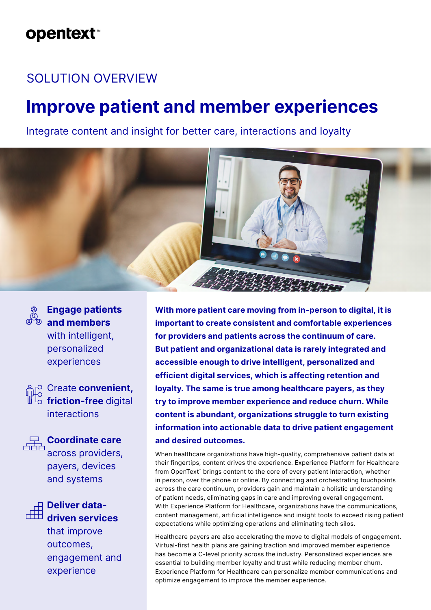## **opentext**™

### SOLUTION OVERVIEW

# **Improve patient and member experiences**

Integrate content and insight for better care, interactions and loyalty





**Engage patients and members** with intelligent, personalized experiences

Create **convenient, friction-free** digital interactions



**Coordinate care** across providers,

payers, devices and systems



**Deliver datadriven services**

that improve outcomes, engagement and experience

**With more patient care moving from in-person to digital, it is important to create consistent and comfortable experiences for providers and patients across the continuum of care. But patient and organizational data is rarely integrated and accessible enough to drive intelligent, personalized and efficient digital services, which is affecting retention and loyalty. The same is true among healthcare payers, as they try to improve member experience and reduce churn. While content is abundant, organizations struggle to turn existing information into actionable data to drive patient engagement and desired outcomes.** 

When healthcare organizations have high-quality, comprehensive patient data at their fingertips, content drives the experience. Experience Platform for Healthcare from OpenText<sup>™</sup> brings content to the core of every patient interaction, whether in person, over the phone or online. By connecting and orchestrating touchpoints across the care continuum, providers gain and maintain a holistic understanding of patient needs, eliminating gaps in care and improving overall engagement. With Experience Platform for Healthcare, organizations have the communications, content management, artificial intelligence and insight tools to exceed rising patient expectations while optimizing operations and eliminating tech silos.

Healthcare payers are also accelerating the move to digital models of engagement. Virtual-first health plans are gaining traction and improved member experience has become a C-level priority across the industry. Personalized experiences are essential to building member loyalty and trust while reducing member churn. Experience Platform for Healthcare can personalize member communications and optimize engagement to improve the member experience.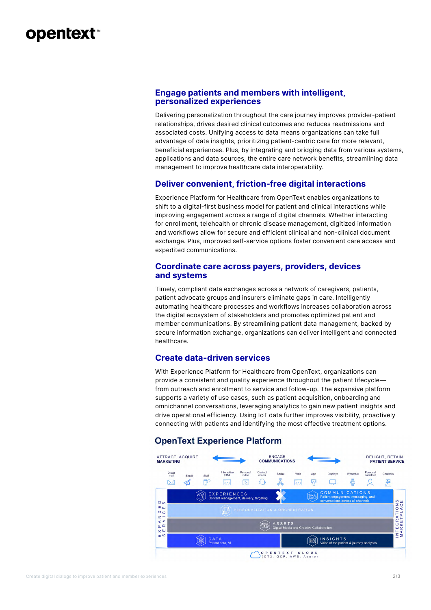### **opentext™**

#### **Engage patients and members with intelligent, personalized experiences**

Delivering personalization throughout the care journey improves provider-patient relationships, drives desired clinical outcomes and reduces readmissions and associated costs. Unifying access to data means organizations can take full advantage of data insights, prioritizing patient-centric care for more relevant, beneficial experiences. Plus, by integrating and bridging data from various systems, applications and data sources, the entire care network benefits, streamlining data management to improve healthcare data interoperability.

#### **Deliver convenient, friction-free digital interactions**

Experience Platform for Healthcare from OpenText enables organizations to shift to a digital-first business model for patient and clinical interactions while improving engagement across a range of digital channels. Whether interacting for enrollment, telehealth or chronic disease management, digitized information and workflows allow for secure and efficient clinical and non-clinical document exchange. Plus, improved self-service options foster convenient care access and expedited communications.

#### **Coordinate care across payers, providers, devices and systems**

Timely, compliant data exchanges across a network of caregivers, patients, patient advocate groups and insurers eliminate gaps in care. Intelligently automating healthcare processes and workflows increases collaboration across the digital ecosystem of stakeholders and promotes optimized patient and member communications. By streamlining patient data management, backed by secure information exchange, organizations can deliver intelligent and connected healthcare.

#### **Create data-driven services**

With Experience Platform for Healthcare from OpenText, organizations can provide a consistent and quality experience throughout the patient lifecycle from outreach and enrollment to service and follow-up. The expansive platform supports a variety of use cases, such as patient acquisition, onboarding and omnichannel conversations, leveraging analytics to gain new patient insights and drive operational efficiency. Using IoT data further improves visibility, proactively connecting with patients and identifying the most effective treatment options.

#### **OpenText Experience Platform**